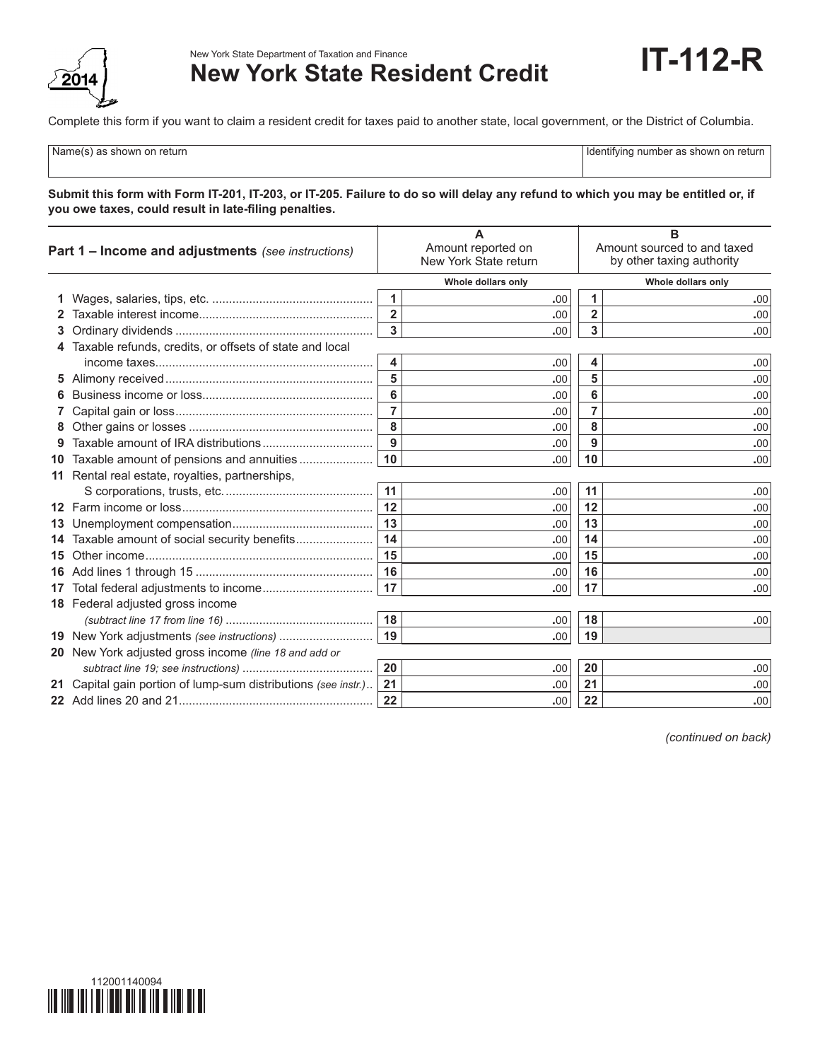

**New York State Resident Credit**

Complete this form if you want to claim a resident credit for taxes paid to another state, local government, or the District of Columbia.

Name(s) as shown on return in the state of the state of the state of the state of the state of the state of the state of the state of the state of the state of the state of the state of the state of the state of the state

**Submit this form with Form IT-201, IT-203, or IT-205. Failure to do so will delay any refund to which you may be entitled or, if you owe taxes, could result in late-filing penalties.**

| <b>Part 1 – Income and adjustments</b> (see instructions) |                                                                | А<br>Amount reported on<br>New York State return |                    | в<br>Amount sourced to and taxed<br>by other taxing authority |                    |
|-----------------------------------------------------------|----------------------------------------------------------------|--------------------------------------------------|--------------------|---------------------------------------------------------------|--------------------|
|                                                           |                                                                |                                                  | Whole dollars only |                                                               | Whole dollars only |
|                                                           |                                                                | 1                                                | .00                | 1                                                             | .00                |
|                                                           |                                                                | $\overline{2}$                                   | .00                | $\overline{2}$                                                | .00                |
|                                                           |                                                                | $\mathbf{3}$                                     | .00                | 3                                                             | .00                |
|                                                           | 4 Taxable refunds, credits, or offsets of state and local      |                                                  |                    |                                                               |                    |
|                                                           |                                                                | 4                                                | .00                | 4                                                             | .00                |
|                                                           |                                                                | 5                                                | .00                | 5                                                             | .00                |
|                                                           |                                                                | 6                                                | .00                | 6                                                             | .00                |
|                                                           |                                                                | $\overline{7}$                                   | .00                | 7                                                             | .00                |
|                                                           |                                                                | 8                                                | .00                | 8                                                             | .00                |
|                                                           |                                                                | 9                                                | .00                | 9                                                             | .00                |
|                                                           | <b>10</b> Taxable amount of pensions and annuities             | 10                                               | .00                | 10                                                            | .00                |
|                                                           | 11 Rental real estate, royalties, partnerships,                |                                                  |                    |                                                               |                    |
|                                                           |                                                                | 11                                               | .00                | 11                                                            | .00                |
|                                                           |                                                                | 12                                               | .00                | 12                                                            | .00                |
|                                                           |                                                                | 13                                               | .00                | 13                                                            | .00                |
|                                                           | 14 Taxable amount of social security benefits                  | 14                                               | .00                | 14                                                            | .00                |
|                                                           |                                                                | 15                                               | .00                | 15                                                            | .00                |
|                                                           |                                                                | 16                                               | .00                | 16                                                            | .00                |
| 17                                                        |                                                                | 17                                               | .00                | 17                                                            | .00                |
|                                                           | 18 Federal adjusted gross income                               |                                                  |                    |                                                               |                    |
|                                                           |                                                                | 18                                               | .00                | 18                                                            | .00                |
|                                                           | 19 New York adjustments (see instructions)                     | 19                                               | .00                | 19                                                            |                    |
|                                                           | 20 New York adjusted gross income (line 18 and add or          |                                                  |                    |                                                               |                    |
|                                                           |                                                                | 20                                               | .00                | 20                                                            | .00                |
|                                                           | 21 Capital gain portion of lump-sum distributions (see instr.) | 21                                               | .00                | 21                                                            | .00                |
|                                                           |                                                                | 22                                               | .00                | 22                                                            | .00                |

*(continued on back)*